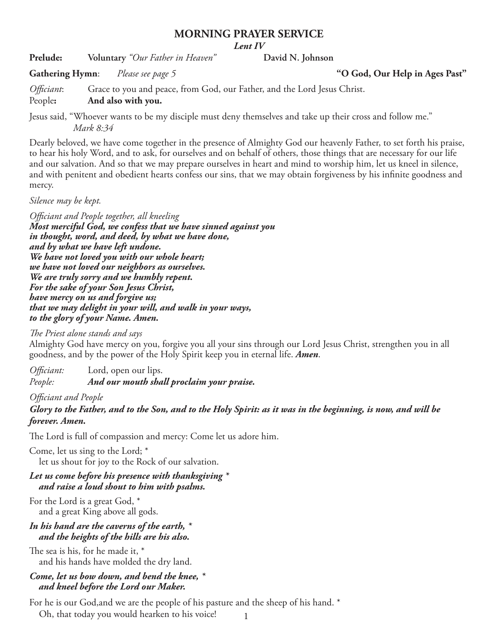# **MORNING PRAYER SERVICE**

*Lent IV*

| Prelude: | Voluntary "Our Father in Heaven" | David N. Johnson |  |
|----------|----------------------------------|------------------|--|
|          |                                  |                  |  |

**Gathering Hymn**: *Please see page 5* **"O God, Our Help in Ages Past"** 

*Officiant*: Grace to you and peace, from God, our Father, and the Lord Jesus Christ. People**: And also with you.**

Jesus said, "Whoever wants to be my disciple must deny themselves and take up their cross and follow me." *Mark 8:34*

Dearly beloved, we have come together in the presence of Almighty God our heavenly Father, to set forth his praise, to hear his holy Word, and to ask, for ourselves and on behalf of others, those things that are necessary for our life and our salvation. And so that we may prepare ourselves in heart and mind to worship him, let us kneel in silence, and with penitent and obedient hearts confess our sins, that we may obtain forgiveness by his infinite goodness and mercy.

### *Silence may be kept.*

*Officiant and People together, all kneeling Most merciful God, we confess that we have sinned against you in thought, word, and deed, by what we have done, and by what we have left undone. We have not loved you with our whole heart; we have not loved our neighbors as ourselves. We are truly sorry and we humbly repent. For the sake of your Son Jesus Christ, have mercy on us and forgive us; that we may delight in your will, and walk in your ways, to the glory of your Name. Amen.*

*The Priest alone stands and says*

Almighty God have mercy on you, forgive you all your sins through our Lord Jesus Christ, strengthen you in all goodness, and by the power of the Holy Spirit keep you in eternal life. *Amen*.

*Officiant:* Lord, open our lips.

*People: And our mouth shall proclaim your praise.*

## *Officiant and People*

*Glory to the Father, and to the Son, and to the Holy Spirit: as it was in the beginning, is now, and will be forever. Amen.*

The Lord is full of compassion and mercy: Come let us adore him.

Come, let us sing to the Lord; \* let us shout for joy to the Rock of our salvation.

## *Let us come before his presence with thanksgiving \* and raise a loud shout to him with psalms.*

For the Lord is a great God, \* and a great King above all gods.

## *In his hand are the caverns of the earth, \* and the heights of the hills are his also.*

The sea is his, for he made it, \* and his hands have molded the dry land.

### *Come, let us bow down, and bend the knee, \* and kneel before the Lord our Maker.*

For he is our God,and we are the people of his pasture and the sheep of his hand. \*

Oh, that today you would hearken to his voice!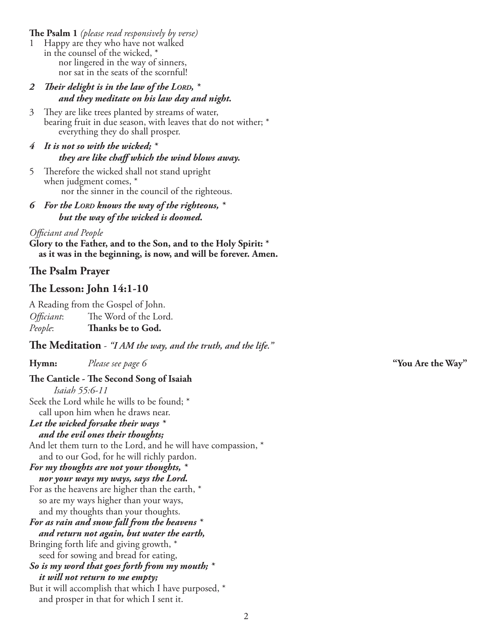**The Psalm 1** *(please read responsively by verse)*

- 1 Happy are they who have not walked in the counsel of the wicked, \* nor lingered in the way of sinners, nor sat in the seats of the scornful!
- 2 *Their delight is in the law of the LORD*,  $*$  *and they meditate on his law day and night.*
- 3 They are like trees planted by streams of water, bearing fruit in due season, with leaves that do not wither; \* everything they do shall prosper.
- *4 It is not so with the wicked; \* they are like chaff which the wind blows away.*
- 5 Therefore the wicked shall not stand upright when judgment comes, \* nor the sinner in the council of the righteous.
- *6 For the Lord knows the way of the righteous, \* but the way of the wicked is doomed.*

#### *Officiant and People*

**Glory to the Father, and to the Son, and to the Holy Spirit: \* as it was in the beginning, is now, and will be forever. Amen.**

## **The Psalm Prayer**

### **The Lesson: John 14:1-10**

A Reading from the Gospel of John. *Officiant*: The Word of the Lord. *People*: **Thanks be to God.**

**The Meditation** - *"I AM the way, and the truth, and the life."*

**Hymn:** *Please see page 6* **"You Are the Way"**

#### **The Canticle - The Second Song of Isaiah**

 *Isaiah 55:6-11* Seek the Lord while he wills to be found; \* call upon him when he draws near. *Let the wicked forsake their ways \* and the evil ones their thoughts;* And let them turn to the Lord, and he will have compassion, \* and to our God, for he will richly pardon. *For my thoughts are not your thoughts, \* nor your ways my ways, says the Lord.* For as the heavens are higher than the earth, \* so are my ways higher than your ways, and my thoughts than your thoughts. *For as rain and snow fall from the heavens \* and return not again, but water the earth,* Bringing forth life and giving growth, \* seed for sowing and bread for eating, *So is my word that goes forth from my mouth; \* it will not return to me empty;*

But it will accomplish that which I have purposed, \* and prosper in that for which I sent it.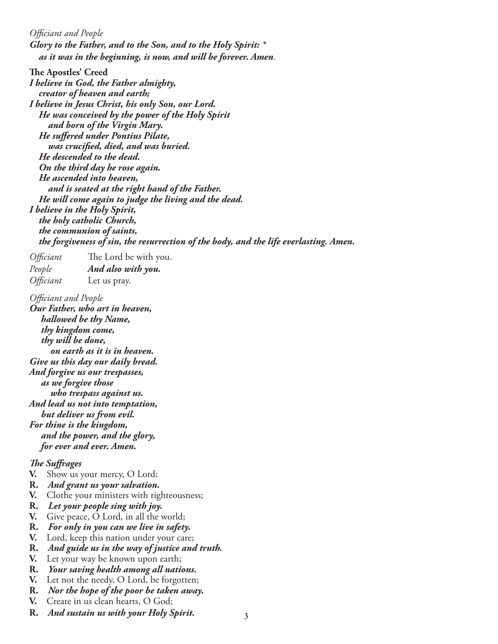*Officiant and People Glory to the Father, and to the Son, and to the Holy Spirit: \* as it was in the beginning, is now, and will be forever. Amen.*

**The Apostles' Creed**

*I believe in God, the Father almighty, creator of heaven and earth; I believe in Jesus Christ, his only Son, our Lord. He was conceived by the power of the Holy Spirit and born of the Virgin Mary. He suffered under Pontius Pilate, was crucified, died, and was buried. He descended to the dead. On the third day he rose again. He ascended into heaven, and is seated at the right hand of the Father. He will come again to judge the living and the dead. I believe in the Holy Spirit, the holy catholic Church, the communion of saints, the forgiveness of sin, the resurrection of the body, and the life everlasting. Amen.*

*Officiant* The Lord be with you. *People And also with you. Officiant* Let us pray.

*Officiant and People*

*Our Father, who art in heaven, hallowed be thy Name, thy kingdom come, thy will be done, on earth as it is in heaven. Give us this day our daily bread. And forgive us our trespasses, as we forgive those who trespass against us. And lead us not into temptation, but deliver us from evil. For thine is the kingdom, and the power, and the glory, for ever and ever. Amen.*

#### *The Suffrages*

- **V.** Show us your mercy, O Lord;
- **R.** *And grant us your salvation.*
- **V.** Clothe your ministers with righteousness;
- **R.** *Let your people sing with joy.*
- **V.** Give peace, O Lord, in all the world;
- **R.** *For only in you can we live in safety.*
- **V.** Lord, keep this nation under your care;
- **R.** *And guide us in the way of justice and truth.*
- **V.** Let your way be known upon earth;
- **R.** *Your saving health among all nations.*
- **V.** Let not the needy, O Lord, be forgotten;
- **R.** *Nor the hope of the poor be taken away.*
- **V.** Create in us clean hearts, O God;
- **R.** *And sustain us with your Holy Spirit.*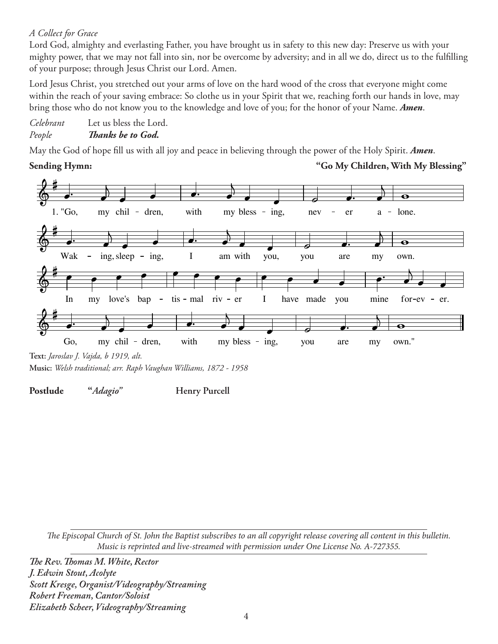# *A Collect for Grace*

Lord God, almighty and everlasting Father, you have brought us in safety to this new day: Preserve us with your mighty power, that we may not fall into sin, nor be overcome by adversity; and in all we do, direct us to the fulfilling of your purpose; through Jesus Christ our Lord. Amen.

Lord Jesus Christ, you stretched out your arms of love on the hard wood of the cross that everyone might come within the reach of your saving embrace: So clothe us in your Spirit that we, reaching forth our hands in love, may bring those who do not know you to the knowledge and love of you; for the honor of your Name. *Amen*.

| Celebrant | Let us bless the Lord. |
|-----------|------------------------|
| People    | Thanks be to God.      |

May the God of hope fill us with all joy and peace in believing through the power of the Holy Spirit. *Amen*.

**Sending Hymn: "Go My Children, With My Blessing"**



**Music:** *Welsh traditional; arr. Raph Vaughan Williams, 1872 - 1958*

**Postlude "***Adagio"* **Henry Purcell**

*The Episcopal Church of St. John the Baptist subscribes to an all copyright release covering all content in this bulletin. Music is reprinted and live-streamed with permission under One License No. A-727355.*

*The Rev. Thomas M. White, Rector J. Edwin Stout, Acolyte Scott Kresge, Organist/Videography/Streaming Robert Freeman, Cantor/Soloist Elizabeth Scheer, Videography/Streaming*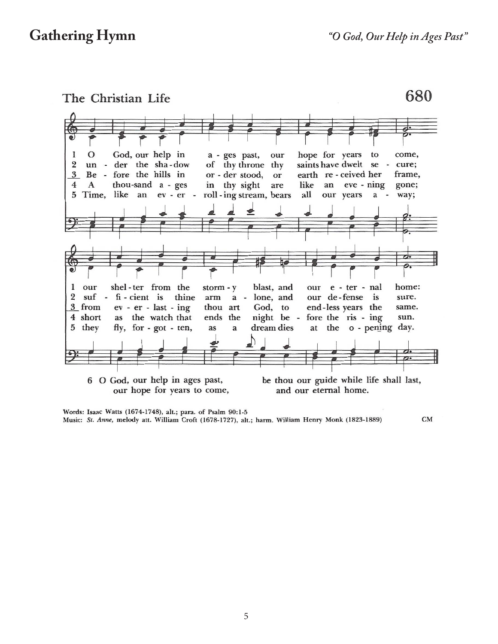$CM$ 



Words: Isaac Watts (1674-1748), alt.; para. of Psalm 90:1-5 Music: St. Anne, melody att. William Croft (1678-1727), alt.; harm. William Henry Monk (1823-1889)